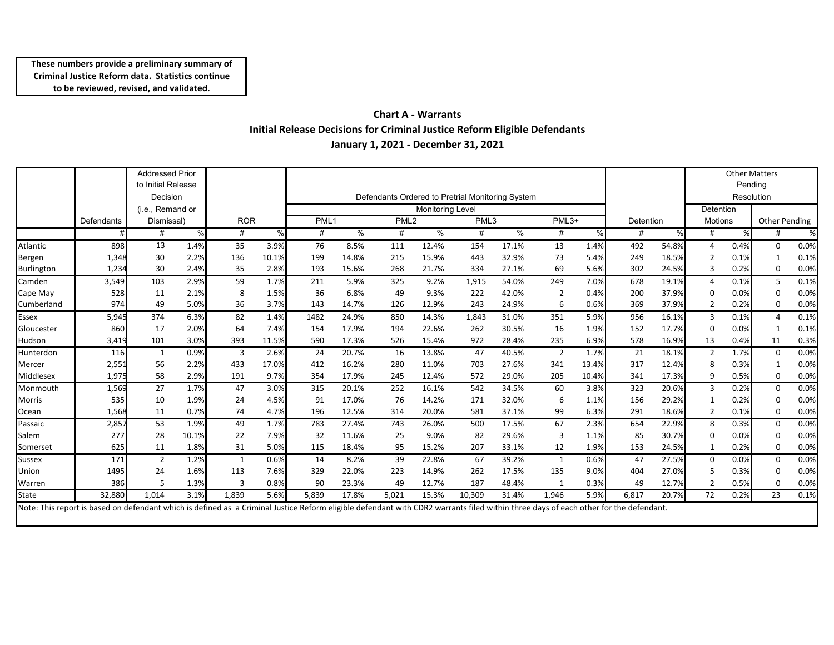### **Chart A - Warrants Initial Release Decisions for Criminal Justice Reform Eligible Defendants January 1, 2021 - December 31, 2021**

|               |            | <b>Addressed Prior</b> |       |            |       |                                                  |               |                  |       |        |       |                |       |           |       |                       |      | <b>Other Matters</b> |      |
|---------------|------------|------------------------|-------|------------|-------|--------------------------------------------------|---------------|------------------|-------|--------|-------|----------------|-------|-----------|-------|-----------------------|------|----------------------|------|
|               |            | to Initial Release     |       |            |       |                                                  |               |                  |       |        |       |                |       |           |       |                       |      |                      |      |
|               |            | Decision               |       |            |       |                                                  |               |                  |       |        |       |                |       |           |       | Pending<br>Resolution |      |                      |      |
|               |            |                        |       |            |       | Defendants Ordered to Pretrial Monitoring System |               |                  |       |        |       |                |       |           |       |                       |      |                      |      |
|               |            | (i.e., Remand or       |       |            |       | <b>Monitoring Level</b>                          |               |                  |       |        |       |                |       |           |       | Detention             |      |                      |      |
|               | Defendants | Dismissal)             |       | <b>ROR</b> |       | PML <sub>1</sub>                                 |               | PML <sub>2</sub> |       | PML3   |       | PML3+          |       | Detention |       | <b>Motions</b>        |      | Other Pending        |      |
|               |            | #                      | %     | #          | %     | #                                                | $\frac{0}{0}$ | #                | %     | #      | $\%$  | #              | %     | #         | $\%$  | #                     | %    | #                    | %    |
| Atlantic      | 898        | 13                     | 1.4%  | 35         | 3.9%  | 76                                               | 8.5%          | 111              | 12.4% | 154    | 17.1% | 13             | 1.4%  | 492       | 54.8% |                       | 0.4% | 0                    | 0.0% |
| Bergen        | 1,348      | 30                     | 2.2%  | 136        | 10.1% | 199                                              | 14.8%         | 215              | 15.9% | 443    | 32.9% | 73             | 5.4%  | 249       | 18.5% |                       | 0.1% |                      | 0.1% |
| Burlington    | 1,234      | 30                     | 2.4%  | 35         | 2.8%  | 193                                              | 15.6%         | 268              | 21.7% | 334    | 27.1% | 69             | 5.6%  | 302       | 24.5% | 3                     | 0.2% | 0                    | 0.0% |
| Camden        | 3,549      | 103                    | 2.9%  | 59         | 1.7%  | 211                                              | 5.9%          | 325              | 9.2%  | 1,915  | 54.0% | 249            | 7.0%  | 678       | 19.1% |                       | 0.1% | 5                    | 0.1% |
| Cape May      | 528        | 11                     | 2.1%  | 8          | 1.5%  | 36                                               | 6.8%          | 49               | 9.3%  | 222    | 42.0% | $\overline{2}$ | 0.4%  | 200       | 37.9% | $\Omega$              | 0.0% | $\Omega$             | 0.0% |
| Cumberland    | 974        | 49                     | 5.0%  | 36         | 3.7%  | 143                                              | 14.7%         | 126              | 12.9% | 243    | 24.9% | 6              | 0.6%  | 369       | 37.9% | 2                     | 0.2% | $\Omega$             | 0.0% |
| Essex         | 5,945      | 374                    | 6.3%  | 82         | 1.4%  | 1482                                             | 24.9%         | 850              | 14.3% | 1,843  | 31.0% | 351            | 5.9%  | 956       | 16.1% | 3                     | 0.1% | 4                    | 0.1% |
| Gloucester    | 860        | 17                     | 2.0%  | 64         | 7.4%  | 154                                              | 17.9%         | 194              | 22.6% | 262    | 30.5% | 16             | 1.9%  | 152       | 17.7% | $\Omega$              | 0.0% | 1                    | 0.1% |
| Hudson        | 3,419      | 101                    | 3.0%  | 393        | 11.5% | 590                                              | 17.3%         | 526              | 15.4% | 972    | 28.4% | 235            | 6.9%  | 578       | 16.9% | 13                    | 0.4% | 11                   | 0.3% |
| Hunterdon     | 116        | 1                      | 0.9%  | 3          | 2.6%  | 24                                               | 20.7%         | 16               | 13.8% | 47     | 40.5% | 2              | 1.7%  | 21        | 18.1% | $\overline{2}$        | 1.7% | 0                    | 0.0% |
| Mercer        | 2,551      | 56                     | 2.2%  | 433        | 17.0% | 412                                              | 16.2%         | 280              | 11.0% | 703    | 27.6% | 341            | 13.4% | 317       | 12.4% | 8                     | 0.3% |                      | 0.0% |
| Middlesex     | 1,975      | 58                     | 2.9%  | 191        | 9.7%  | 354                                              | 17.9%         | 245              | 12.4% | 572    | 29.0% | 205            | 10.4% | 341       | 17.3% | 9                     | 0.5% | 0                    | 0.0% |
| Monmouth      | 1,569      | 27                     | 1.7%  | 47         | 3.0%  | 315                                              | 20.1%         | 252              | 16.1% | 542    | 34.5% | 60             | 3.8%  | 323       | 20.6% | 3                     | 0.2% | $\Omega$             | 0.0% |
| Morris        | 535        | 10                     | 1.9%  | 24         | 4.5%  | 91                                               | 17.0%         | 76               | 14.2% | 171    | 32.0% | 6              | 1.1%  | 156       | 29.2% |                       | 0.2% | $\Omega$             | 0.0% |
| Ocean         | 1,568      | 11                     | 0.7%  | 74         | 4.7%  | 196                                              | 12.5%         | 314              | 20.0% | 581    | 37.1% | 99             | 6.3%  | 291       | 18.6% | 2                     | 0.1% | 0                    | 0.0% |
| Passaic       | 2,85       | 53                     | 1.9%  | 49         | 1.7%  | 783                                              | 27.4%         | 743              | 26.0% | 500    | 17.5% | 67             | 2.3%  | 654       | 22.9% | 8                     | 0.3% | $\Omega$             | 0.0% |
| Salem         | 277        | 28                     | 10.1% | 22         | 7.9%  | 32                                               | 11.6%         | 25               | 9.0%  | 82     | 29.6% | 3              | 1.1%  | 85        | 30.7% | $\Omega$              | 0.0% | $\Omega$             | 0.0% |
| Somerset      | 625        | 11                     | 1.8%  | 31         | 5.0%  | 115                                              | 18.4%         | 95               | 15.2% | 207    | 33.1% | 12             | 1.9%  | 153       | 24.5% | 1                     | 0.2% | 0                    | 0.0% |
| <b>Sussex</b> | 171        | 2                      | 1.2%  | 1          | 0.6%  | 14                                               | 8.2%          | 39               | 22.8% | 67     | 39.2% | 1              | 0.6%  | 47        | 27.5% | $\Omega$              | 0.0% | $\Omega$             | 0.0% |
| Union         | 1495       | 24                     | 1.6%  | 113        | 7.6%  | 329                                              | 22.0%         | 223              | 14.9% | 262    | 17.5% | 135            | 9.0%  | 404       | 27.0% |                       | 0.3% | $\Omega$             | 0.0% |
| Warren        | 386        | 5                      | 1.3%  | 3          | 0.8%  | 90                                               | 23.3%         | 49               | 12.7% | 187    | 48.4% | 1              | 0.3%  | 49        | 12.7% | $\overline{2}$        | 0.5% | $\Omega$             | 0.0% |
| State         | 32,880     | 1,014                  | 3.1%  | 1,839      | 5.6%  | 5,839                                            | 17.8%         | 5,021            | 15.3% | 10,309 | 31.4% | 1,946          | 5.9%  | 6,817     | 20.7% | 72                    | 0.2% | 23                   | 0.1% |

Note: This report is based on defendant which is defined as a Criminal Justice Reform eligible defendant with CDR2 warrants filed within three days of each other for the defendant.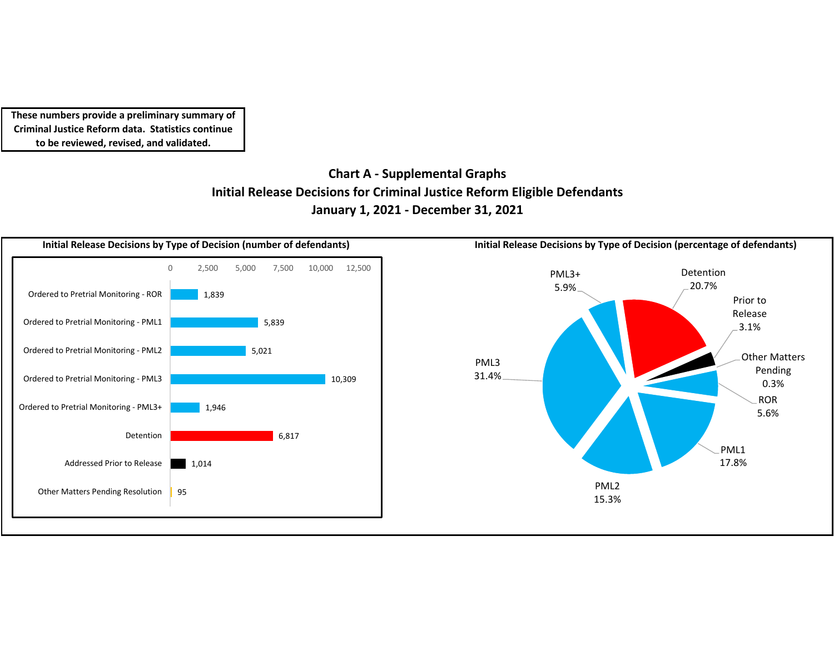## **Chart A ‐ Supplemental Graphs Initial Release Decisions for Criminal Justice Reform Eligible Defendants January 1, 2021 ‐ December 31, 2021**

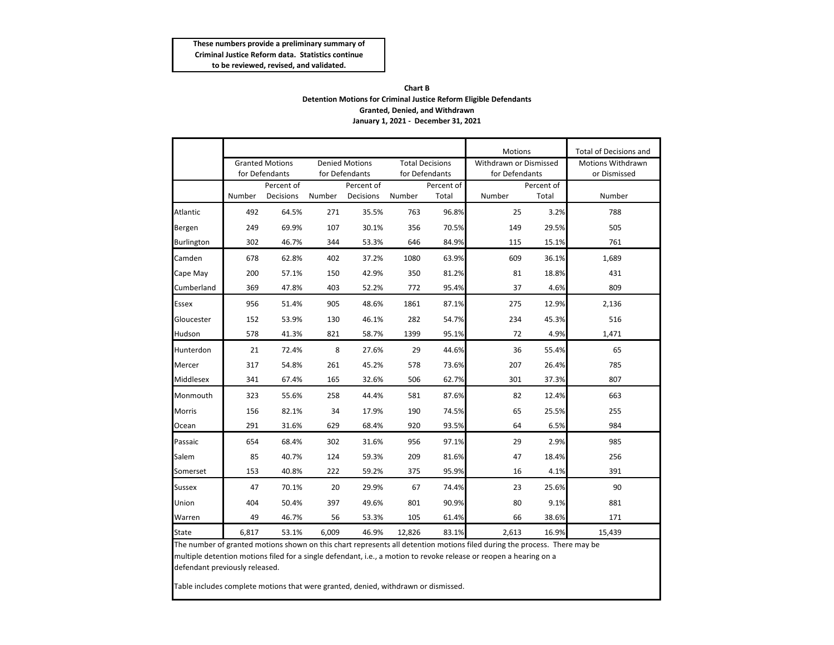### **Chart B Detention Motions for Criminal Justice Reform Eligible Defendants Granted, Denied, and Withdrawn January 1, 2021 - December 31, 2021**

|                   |                                   |                                          |        |                                         |        |                                          | <b>Motions</b>                           |                     | <b>Total of Decisions and</b>            |  |  |
|-------------------|-----------------------------------|------------------------------------------|--------|-----------------------------------------|--------|------------------------------------------|------------------------------------------|---------------------|------------------------------------------|--|--|
|                   |                                   | <b>Granted Motions</b><br>for Defendants |        | <b>Denied Motions</b><br>for Defendants |        | <b>Total Decisions</b><br>for Defendants | Withdrawn or Dismissed<br>for Defendants |                     | <b>Motions Withdrawn</b><br>or Dismissed |  |  |
|                   | Percent of<br>Decisions<br>Number |                                          | Number | Percent of<br>Decisions                 | Number | Percent of<br>Total                      | Number                                   | Percent of<br>Total | Number                                   |  |  |
| Atlantic          | 492                               | 64.5%                                    | 271    | 35.5%                                   | 763    | 96.8%                                    | 25                                       | 3.2%                | 788                                      |  |  |
| Bergen            | 249                               | 69.9%                                    | 107    | 30.1%                                   | 356    | 70.5%                                    | 149                                      | 29.5%               | 505                                      |  |  |
| <b>Burlington</b> | 302                               | 46.7%                                    | 344    | 53.3%                                   | 646    | 84.9%                                    | 115                                      | 15.1%               | 761                                      |  |  |
| Camden            | 678                               | 62.8%                                    | 402    | 37.2%                                   | 1080   | 63.9%                                    | 609                                      | 36.1%               | 1,689                                    |  |  |
| Cape May          | 200                               | 57.1%                                    | 150    | 42.9%                                   | 350    | 81.2%                                    | 81                                       | 18.8%               | 431                                      |  |  |
| Cumberland        | 369                               | 47.8%                                    | 403    | 52.2%                                   | 772    | 95.4%                                    | 37                                       | 4.6%                | 809                                      |  |  |
| Essex             | 956                               | 51.4%                                    | 905    | 48.6%                                   | 1861   | 87.1%                                    | 275                                      | 12.9%               | 2,136                                    |  |  |
| Gloucester        | 152                               | 53.9%                                    | 130    | 46.1%                                   | 282    | 54.7%                                    | 234                                      | 45.3%               | 516                                      |  |  |
| Hudson            | 578                               | 41.3%                                    | 821    | 58.7%                                   | 1399   | 95.1%                                    | 72                                       | 4.9%                | 1,471                                    |  |  |
| Hunterdon         | 21                                | 72.4%                                    | 8      | 27.6%                                   | 29     | 44.6%                                    | 36                                       | 55.4%               | 65                                       |  |  |
| Mercer            | 317                               | 54.8%                                    | 261    | 45.2%                                   | 578    | 73.6%                                    | 207                                      | 26.4%               | 785                                      |  |  |
| Middlesex         | 341                               | 67.4%                                    | 165    | 32.6%                                   | 506    | 62.7%                                    | 301                                      | 37.3%               | 807                                      |  |  |
| Monmouth          | 323                               | 55.6%                                    | 258    | 44.4%                                   | 581    | 87.6%                                    | 82                                       | 12.4%               | 663                                      |  |  |
| <b>Morris</b>     | 156                               | 82.1%                                    | 34     | 17.9%                                   | 190    | 74.5%                                    | 65                                       | 25.5%               | 255                                      |  |  |
| Ocean             | 291                               | 31.6%                                    | 629    | 68.4%                                   | 920    | 93.5%                                    | 64                                       | 6.5%                | 984                                      |  |  |
| Passaic           | 654                               | 68.4%                                    | 302    | 31.6%                                   | 956    | 97.1%                                    | 29                                       | 2.9%                | 985                                      |  |  |
| Salem             | 85                                | 40.7%                                    | 124    | 59.3%                                   | 209    | 81.6%                                    | 47                                       | 18.4%               | 256                                      |  |  |
| Somerset          | 153                               | 40.8%                                    | 222    | 59.2%                                   | 375    | 95.9%                                    | 16                                       | 4.1%                | 391                                      |  |  |
| <b>Sussex</b>     | 47                                | 70.1%                                    | 20     | 29.9%                                   | 67     | 74.4%                                    | 23                                       | 25.6%               | 90                                       |  |  |
| Union             | 404                               | 50.4%                                    | 397    | 49.6%                                   | 801    | 90.9%                                    | 80                                       | 9.1%                | 881                                      |  |  |
| Warren            | 49                                | 46.7%                                    | 56     | 53.3%                                   | 105    | 61.4%                                    | 66                                       | 38.6%               | 171                                      |  |  |
| State             | 6,817                             | 53.1%                                    | 6,009  | 46.9%                                   | 12,826 | 83.1%                                    | 2,613                                    | 16.9%               | 15,439                                   |  |  |

The number of granted motions shown on this chart represents all detention motions filed during the process. There may be multiple detention motions filed for a single defendant, i.e., a motion to revoke release or reopen a hearing on a

defendant previously released.

Table includes complete motions that were granted, denied, withdrawn or dismissed.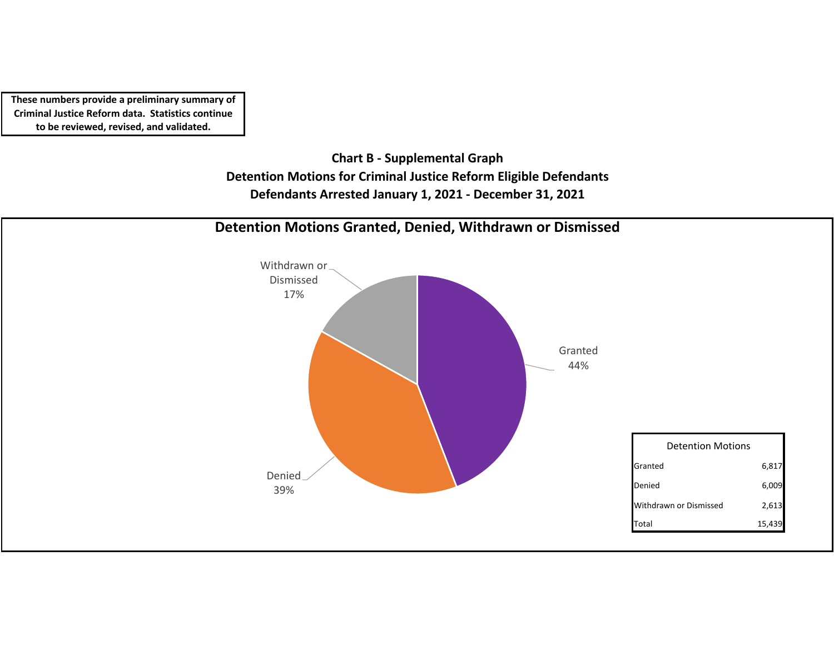> **Chart B ‐ Supplemental Graph Detention Motions for Criminal Justice Reform Eligible Defendants Defendants Arrested January 1, 2021 ‐ December 31, 2021**

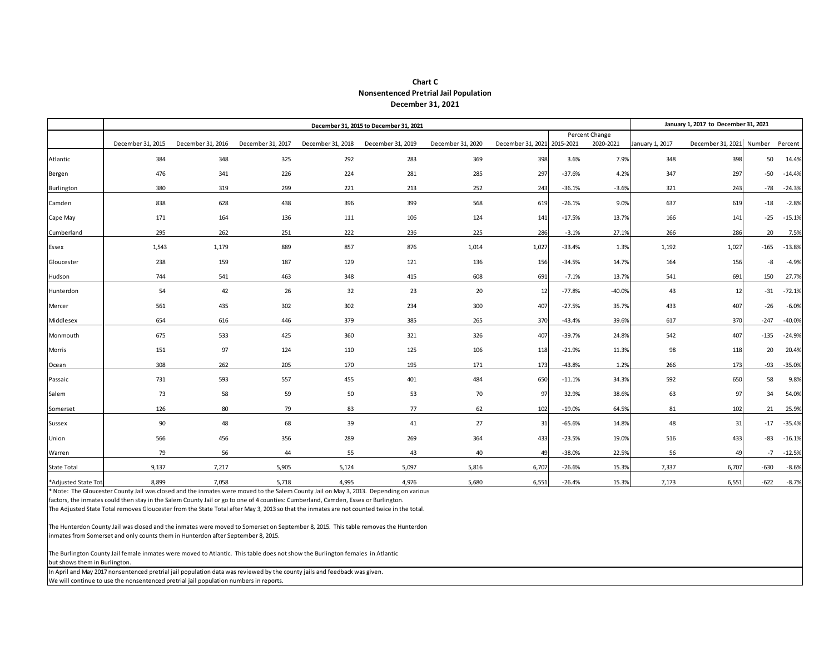### **Nonsentenced Pretrial Jail Population Chart C December 31, 2021**

|                     |                   |                                                                                                                                                                                                                                                                                                                                                                                                                            |                   | January 1, 2017 to December 31, 2021 |                   |                   |                             |          |                |                 |                                  |        |          |  |
|---------------------|-------------------|----------------------------------------------------------------------------------------------------------------------------------------------------------------------------------------------------------------------------------------------------------------------------------------------------------------------------------------------------------------------------------------------------------------------------|-------------------|--------------------------------------|-------------------|-------------------|-----------------------------|----------|----------------|-----------------|----------------------------------|--------|----------|--|
|                     |                   |                                                                                                                                                                                                                                                                                                                                                                                                                            |                   |                                      |                   |                   |                             |          | Percent Change |                 |                                  |        |          |  |
|                     | December 31, 2015 | December 31, 2016                                                                                                                                                                                                                                                                                                                                                                                                          | December 31, 2017 | December 31, 2018                    | December 31, 2019 | December 31, 2020 | December 31, 2021 2015-2021 |          | 2020-2021      | January 1, 2017 | December 31, 2021 Number Percent |        |          |  |
| Atlantic            | 384               | 348                                                                                                                                                                                                                                                                                                                                                                                                                        | 325               | 292                                  | 283               | 369               | 398                         | 3.6%     | 7.9%           | 348             | 398                              | 50     | 14.4%    |  |
| Bergen              | 476               | 341                                                                                                                                                                                                                                                                                                                                                                                                                        | 226               | 224                                  | 281               | 285               | 297                         | $-37.6%$ | 4.2%           | 347             | 297                              | $-50$  | $-14.4%$ |  |
| Burlington          | 380               | 319                                                                                                                                                                                                                                                                                                                                                                                                                        | 299               | 221                                  | 213               | 252               | 243                         | $-36.1%$ | $-3.6%$        | 321             | 243                              | $-78$  | $-24.3%$ |  |
| Camden              | 838               | 628                                                                                                                                                                                                                                                                                                                                                                                                                        | 438               | 396                                  | 399               | 568               | 619                         | $-26.1%$ | 9.0%           | 637             | 619                              | $-18$  | $-2.8%$  |  |
| Cape May            | 171               | 164                                                                                                                                                                                                                                                                                                                                                                                                                        | 136               | 111                                  | 106               | 124               | 141                         | $-17.5%$ | 13.7%          | 166             | 141                              | $-25$  | $-15.1%$ |  |
| Cumberland          | 295               | 262                                                                                                                                                                                                                                                                                                                                                                                                                        | 251               | 222                                  | 236               | 225               | 286                         | $-3.1%$  | 27.1%          | 266             | 286                              | 20     | 7.5%     |  |
| Essex               | 1,543             | 1,179                                                                                                                                                                                                                                                                                                                                                                                                                      | 889               | 857                                  | 876               | 1,014             | 1,027                       | $-33.4%$ | 1.3%           | 1,192           | 1,027                            | $-165$ | $-13.8%$ |  |
| Gloucester          | 238               | 159                                                                                                                                                                                                                                                                                                                                                                                                                        | 187               | 129                                  | 121               | 136               | 156                         | $-34.5%$ | 14.7%          | 164             | 156                              | -8     | $-4.9%$  |  |
| Hudson              | 744               | 541                                                                                                                                                                                                                                                                                                                                                                                                                        | 463               | 348                                  | 415               | 608               | 691                         | $-7.1%$  | 13.7%          | 541             | 691                              | 150    | 27.7%    |  |
| Hunterdon           | 54                | 42                                                                                                                                                                                                                                                                                                                                                                                                                         | 26                | 32                                   | 23                | 20                | 12                          | $-77.8%$ | $-40.0%$       | 43              | 12                               | $-31$  | $-72.1%$ |  |
| Mercer              | 561               | 435                                                                                                                                                                                                                                                                                                                                                                                                                        | 302               | 302                                  | 234               | 300               | 407                         | $-27.5%$ | 35.7%          | 433             | 407                              | $-26$  | $-6.0%$  |  |
| Middlesex           | 654               | 616                                                                                                                                                                                                                                                                                                                                                                                                                        | 446               | 379                                  | 385               | 265               | 370                         | $-43.4%$ | 39.6%          | 617             | 370                              | $-247$ | $-40.0%$ |  |
| Monmouth            | 675               | 533                                                                                                                                                                                                                                                                                                                                                                                                                        | 425               | 360                                  | 321               | 326               | 407                         | $-39.7%$ | 24.8%          | 542             | 407                              | $-135$ | $-24.9%$ |  |
| Morris              | 151               | 97                                                                                                                                                                                                                                                                                                                                                                                                                         | 124               | 110                                  | 125               | 106               | 118                         | $-21.9%$ | 11.3%          | 98              | 118                              | 20     | 20.4%    |  |
| Ocean               | 308               | 262                                                                                                                                                                                                                                                                                                                                                                                                                        | 205               | 170                                  | 195               | 171               | 173                         | $-43.8%$ | 1.2%           | 266             | 173                              | -93    | $-35.0%$ |  |
| Passaic             | 731               | 593                                                                                                                                                                                                                                                                                                                                                                                                                        | 557               | 455                                  | 401               | 484               | 650                         | $-11.1%$ | 34.3%          | 592             | 650                              | 58     | 9.8%     |  |
| Salem               | 73                | 58                                                                                                                                                                                                                                                                                                                                                                                                                         | 59                | 50                                   | 53                | 70                | 97                          | 32.9%    | 38.6%          | 63              | 97                               | 34     | 54.0%    |  |
| Somerset            | 126               | 80                                                                                                                                                                                                                                                                                                                                                                                                                         | 79                | 83                                   | 77                | 62                | 102                         | $-19.0%$ | 64.5%          | 81              | 102                              | 21     | 25.9%    |  |
| Sussex              | 90                | 48                                                                                                                                                                                                                                                                                                                                                                                                                         | 68                | 39                                   | 41                | 27                | 31                          | $-65.6%$ | 14.8%          | 48              | 31                               | $-17$  | $-35.4%$ |  |
| Union               | 566               | 456                                                                                                                                                                                                                                                                                                                                                                                                                        | 356               | 289                                  | 269               | 364               | 433                         | $-23.5%$ | 19.0%          | 516             | 433                              | -83    | $-16.1%$ |  |
| Warren              | 79                | 56                                                                                                                                                                                                                                                                                                                                                                                                                         | 44                | 55                                   | 43                | 40                | 49                          | $-38.0%$ | 22.5%          | 56              | 49                               | $-7$   | $-12.5%$ |  |
| <b>State Total</b>  | 9,137             | 7,217                                                                                                                                                                                                                                                                                                                                                                                                                      | 5,905             | 5,124                                | 5,097             | 5,816             | 6,707                       | $-26.6%$ | 15.3%          | 7,337           | 6,707                            | -630   | $-8.6%$  |  |
| *Adjusted State Tot | 8,899             | 7,058                                                                                                                                                                                                                                                                                                                                                                                                                      | 5,718             | 4,995                                | 4,976             | 5,680             | 6,551                       | $-26.4%$ | 15.3%          | 7,173           | 6,551                            | -622   | $-8.7%$  |  |
|                     |                   | * Note: The Gloucester County Jail was closed and the inmates were moved to the Salem County Jail on May 3, 2013. Depending on various<br>factors, the inmates could then stay in the Salem County Jail or go to one of 4 counties: Cumberland, Camden, Essex or Burlington.<br>The Adjusted State Total removes Gloucester from the State Total after May 3, 2013 so that the inmates are not counted twice in the total. |                   |                                      |                   |                   |                             |          |                |                 |                                  |        |          |  |

The Hunterdon County Jail was closed and the inmates were moved to Somerset on September 8, 2015. This table removes the Hunterdon inmates from Somerset and only counts them in Hunterdon after September 8, 2015.

The Burlington County Jail female inmates were moved to Atlantic. This table does not show the Burlington females in Atlantic but shows them in Burlington.

In April and May 2017 nonsentenced pretrial jail population data was reviewed by the county jails and feedback was given. We will continue to use the nonsentenced pretrial jail population numbers in reports.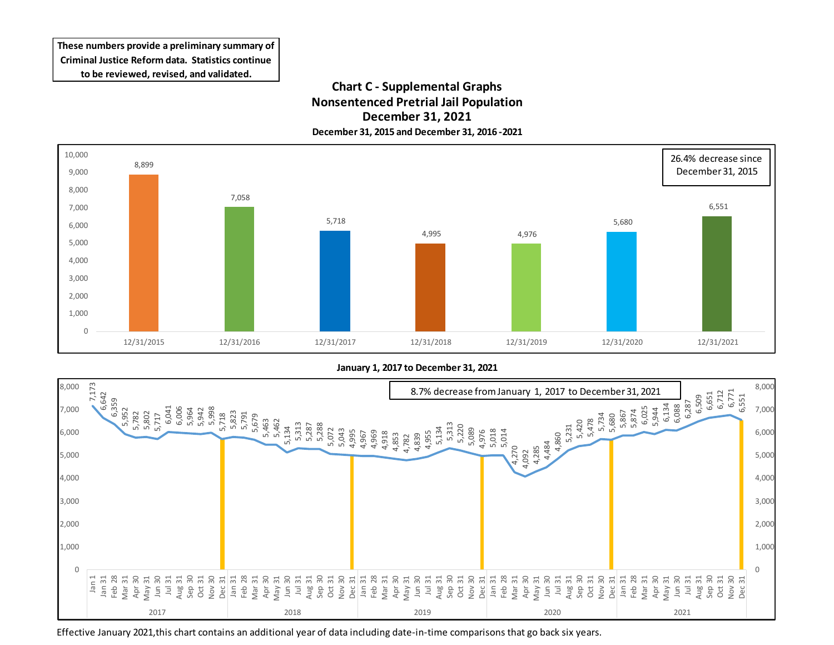## **Chart C - Supplemental Graphs Nonsentenced Pretrial Jail Population December 31, 2021 December 31, 2015 and December 31, 2016 -2021**



**January 1, 2017 to December 31, 2021**



Effective January 2021,this chart contains an additional year of data including date-in-time comparisons that go back six years.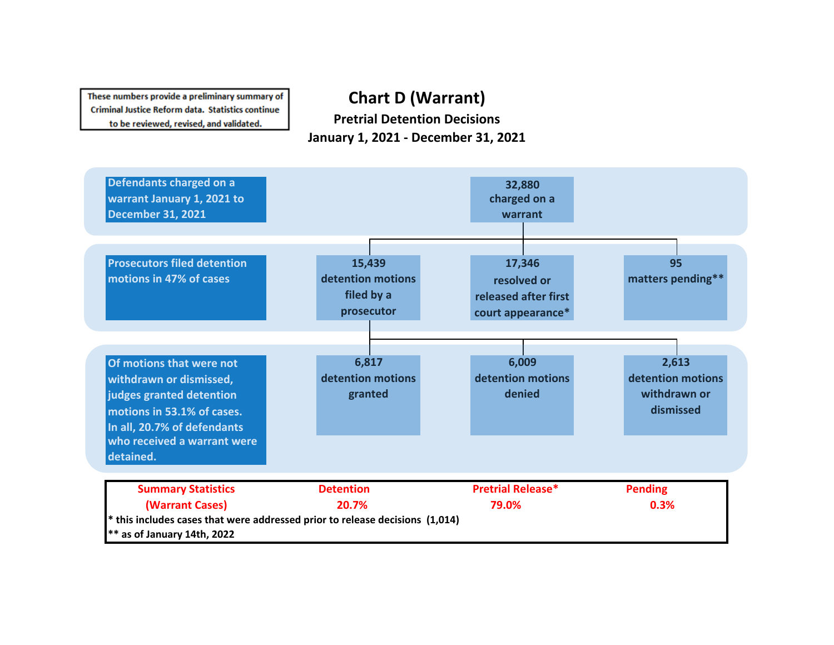# **Chart D (Warrant)**

**Pretrial Detention Decisions January 1, 2021 - December 31, 2021**

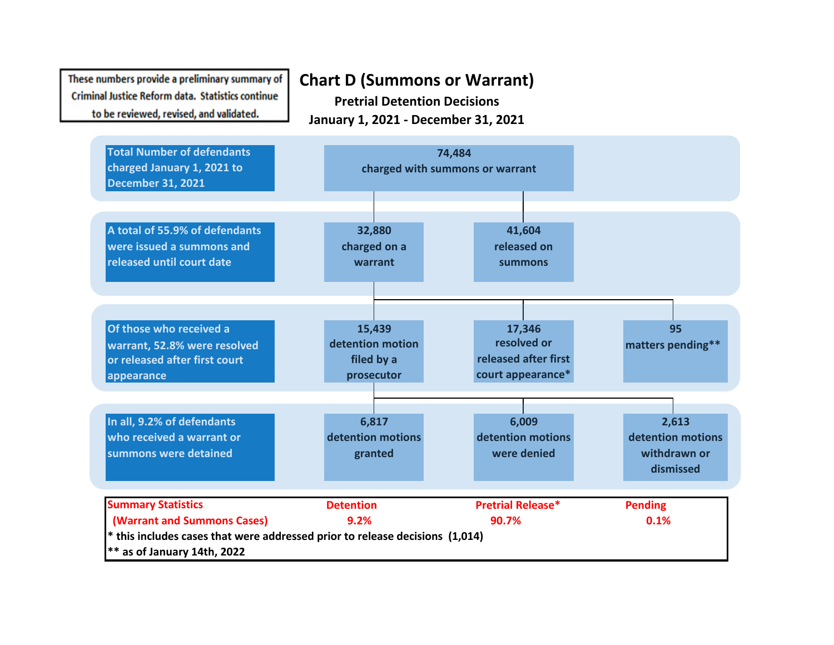## **Chart D (Summons or Warrant) Pretrial Detention Decisions January 1, 2021 - December 31, 2021**